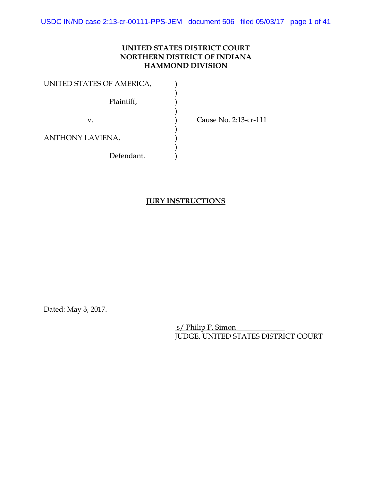USDC IN/ND case 2:13-cr-00111-PPS-JEM document 506 filed 05/03/17 page 1 of 41

### **UNITED STATES DISTRICT COURT NORTHERN DISTRICT OF INDIANA HAMMOND DIVISION**

| UNITED STATES OF AMERICA, |  |
|---------------------------|--|
| Plaintiff,                |  |
| V.                        |  |
| <b>ANTHONY LAVIENA,</b>   |  |
| Defendant.                |  |

Cause No. 2:13-cr-111

## **JURY INSTRUCTIONS**

Dated: May 3, 2017.

 s/ Philip P. Simon JUDGE, UNITED STATES DISTRICT COURT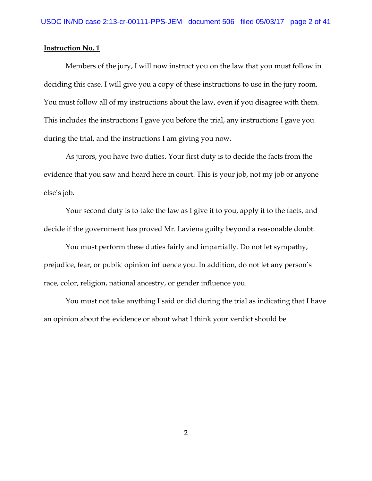Members of the jury, I will now instruct you on the law that you must follow in deciding this case. I will give you a copy of these instructions to use in the jury room. You must follow all of my instructions about the law, even if you disagree with them. This includes the instructions I gave you before the trial, any instructions I gave you during the trial, and the instructions I am giving you now.

As jurors, you have two duties. Your first duty is to decide the facts from the evidence that you saw and heard here in court. This is your job, not my job or anyone else's job.

Your second duty is to take the law as I give it to you, apply it to the facts, and decide if the government has proved Mr. Laviena guilty beyond a reasonable doubt.

You must perform these duties fairly and impartially. Do not let sympathy, prejudice, fear, or public opinion influence you. In addition, do not let any person's race, color, religion, national ancestry, or gender influence you.

You must not take anything I said or did during the trial as indicating that I have an opinion about the evidence or about what I think your verdict should be.

2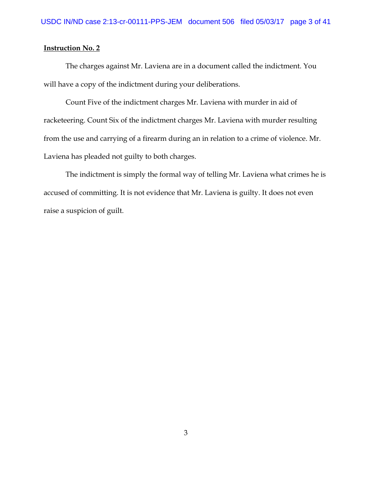The charges against Mr. Laviena are in a document called the indictment. You will have a copy of the indictment during your deliberations.

Count Five of the indictment charges Mr. Laviena with murder in aid of racketeering. Count Six of the indictment charges Mr. Laviena with murder resulting from the use and carrying of a firearm during an in relation to a crime of violence. Mr. Laviena has pleaded not guilty to both charges.

The indictment is simply the formal way of telling Mr. Laviena what crimes he is accused of committing. It is not evidence that Mr. Laviena is guilty. It does not even raise a suspicion of guilt.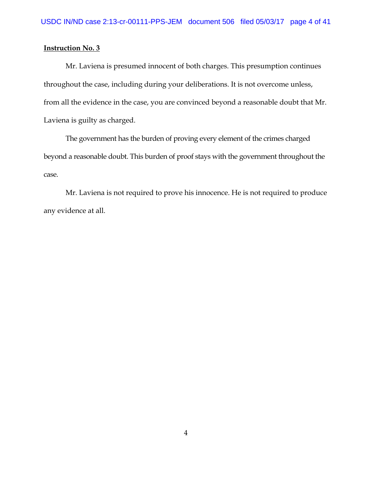Mr. Laviena is presumed innocent of both charges. This presumption continues throughout the case, including during your deliberations. It is not overcome unless, from all the evidence in the case, you are convinced beyond a reasonable doubt that Mr. Laviena is guilty as charged.

The government has the burden of proving every element of the crimes charged beyond a reasonable doubt. This burden of proof stays with the government throughout the case.

Mr. Laviena is not required to prove his innocence. He is not required to produce any evidence at all.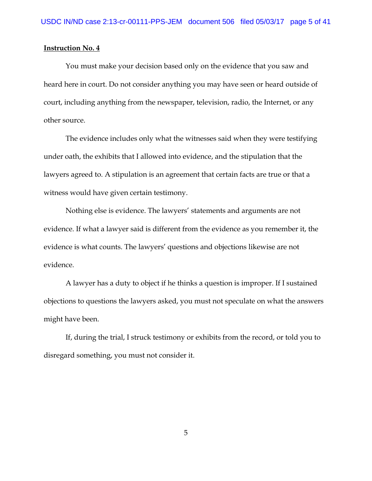You must make your decision based only on the evidence that you saw and heard here in court. Do not consider anything you may have seen or heard outside of court, including anything from the newspaper, television, radio, the Internet, or any other source.

The evidence includes only what the witnesses said when they were testifying under oath, the exhibits that I allowed into evidence, and the stipulation that the lawyers agreed to. A stipulation is an agreement that certain facts are true or that a witness would have given certain testimony.

Nothing else is evidence. The lawyers' statements and arguments are not evidence. If what a lawyer said is different from the evidence as you remember it, the evidence is what counts. The lawyers' questions and objections likewise are not evidence.

A lawyer has a duty to object if he thinks a question is improper. If I sustained objections to questions the lawyers asked, you must not speculate on what the answers might have been.

If, during the trial, I struck testimony or exhibits from the record, or told you to disregard something, you must not consider it.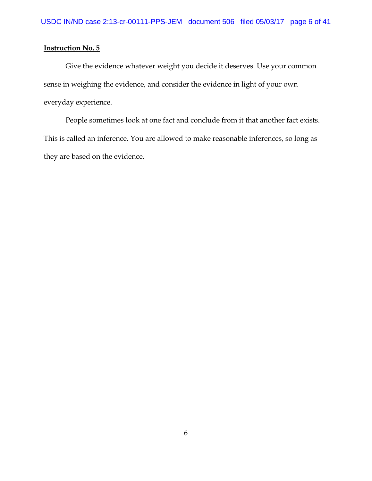Give the evidence whatever weight you decide it deserves. Use your common sense in weighing the evidence, and consider the evidence in light of your own everyday experience.

People sometimes look at one fact and conclude from it that another fact exists. This is called an inference. You are allowed to make reasonable inferences, so long as they are based on the evidence.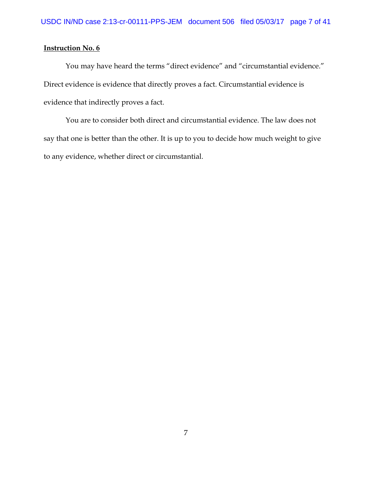You may have heard the terms "direct evidence" and "circumstantial evidence." Direct evidence is evidence that directly proves a fact. Circumstantial evidence is evidence that indirectly proves a fact.

You are to consider both direct and circumstantial evidence. The law does not say that one is better than the other. It is up to you to decide how much weight to give to any evidence, whether direct or circumstantial.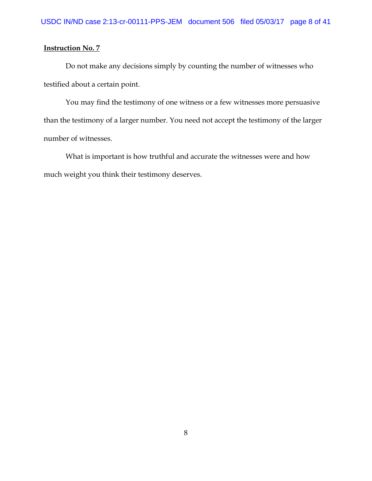Do not make any decisions simply by counting the number of witnesses who testified about a certain point.

You may find the testimony of one witness or a few witnesses more persuasive than the testimony of a larger number. You need not accept the testimony of the larger number of witnesses.

What is important is how truthful and accurate the witnesses were and how much weight you think their testimony deserves.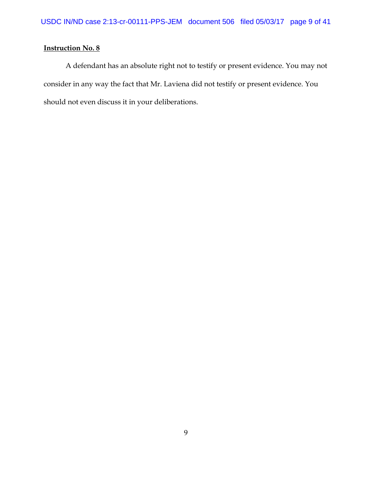A defendant has an absolute right not to testify or present evidence. You may not consider in any way the fact that Mr. Laviena did not testify or present evidence. You should not even discuss it in your deliberations.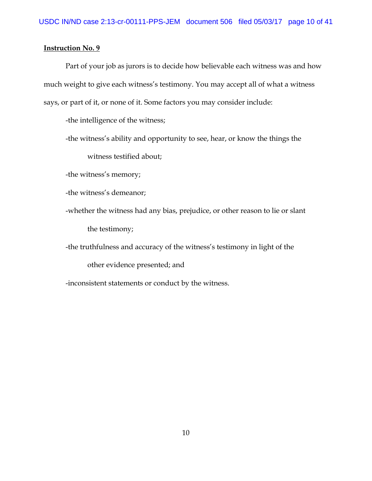Part of your job as jurors is to decide how believable each witness was and how much weight to give each witness's testimony. You may accept all of what a witness says, or part of it, or none of it. Some factors you may consider include:

-the intelligence of the witness;

-the witness's ability and opportunity to see, hear, or know the things the witness testified about;

-the witness's memory;

-the witness's demeanor;

-whether the witness had any bias, prejudice, or other reason to lie or slant the testimony;

-the truthfulness and accuracy of the witness's testimony in light of the

other evidence presented; and

-inconsistent statements or conduct by the witness.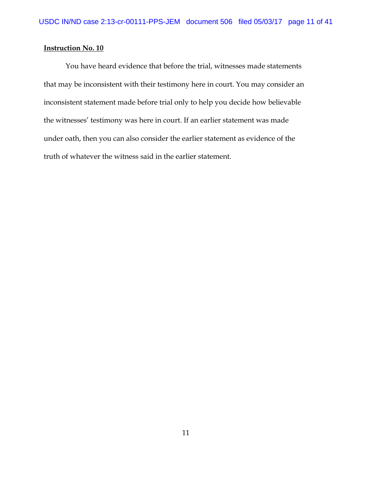You have heard evidence that before the trial, witnesses made statements that may be inconsistent with their testimony here in court. You may consider an inconsistent statement made before trial only to help you decide how believable the witnesses' testimony was here in court. If an earlier statement was made under oath, then you can also consider the earlier statement as evidence of the truth of whatever the witness said in the earlier statement.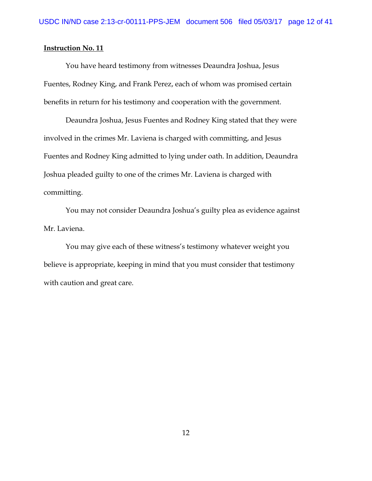You have heard testimony from witnesses Deaundra Joshua, Jesus Fuentes, Rodney King, and Frank Perez, each of whom was promised certain benefits in return for his testimony and cooperation with the government.

Deaundra Joshua, Jesus Fuentes and Rodney King stated that they were involved in the crimes Mr. Laviena is charged with committing, and Jesus Fuentes and Rodney King admitted to lying under oath. In addition, Deaundra Joshua pleaded guilty to one of the crimes Mr. Laviena is charged with committing.

You may not consider Deaundra Joshua's guilty plea as evidence against Mr. Laviena.

You may give each of these witness's testimony whatever weight you believe is appropriate, keeping in mind that you must consider that testimony with caution and great care.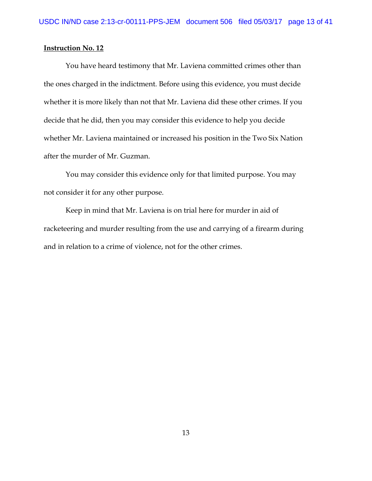You have heard testimony that Mr. Laviena committed crimes other than the ones charged in the indictment. Before using this evidence, you must decide whether it is more likely than not that Mr. Laviena did these other crimes. If you decide that he did, then you may consider this evidence to help you decide whether Mr. Laviena maintained or increased his position in the Two Six Nation after the murder of Mr. Guzman.

You may consider this evidence only for that limited purpose. You may not consider it for any other purpose.

Keep in mind that Mr. Laviena is on trial here for murder in aid of racketeering and murder resulting from the use and carrying of a firearm during and in relation to a crime of violence, not for the other crimes.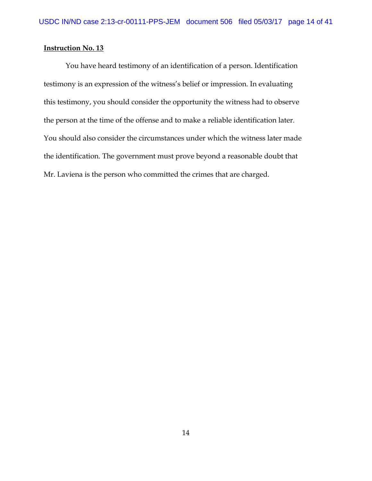You have heard testimony of an identification of a person. Identification testimony is an expression of the witness's belief or impression. In evaluating this testimony, you should consider the opportunity the witness had to observe the person at the time of the offense and to make a reliable identification later. You should also consider the circumstances under which the witness later made the identification. The government must prove beyond a reasonable doubt that Mr. Laviena is the person who committed the crimes that are charged.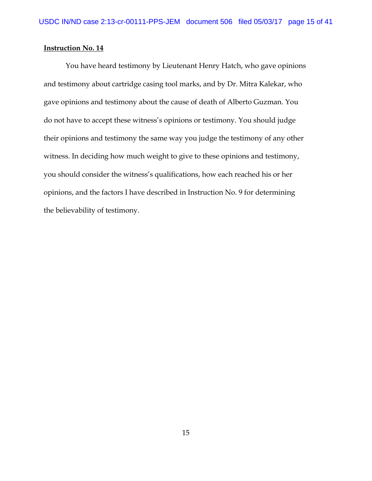You have heard testimony by Lieutenant Henry Hatch, who gave opinions and testimony about cartridge casing tool marks, and by Dr. Mitra Kalekar, who gave opinions and testimony about the cause of death of Alberto Guzman. You do not have to accept these witness's opinions or testimony. You should judge their opinions and testimony the same way you judge the testimony of any other witness. In deciding how much weight to give to these opinions and testimony, you should consider the witness's qualifications, how each reached his or her opinions, and the factors I have described in Instruction No. 9 for determining the believability of testimony.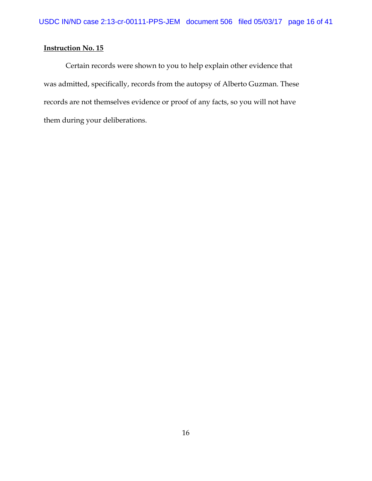Certain records were shown to you to help explain other evidence that was admitted, specifically, records from the autopsy of Alberto Guzman. These records are not themselves evidence or proof of any facts, so you will not have them during your deliberations.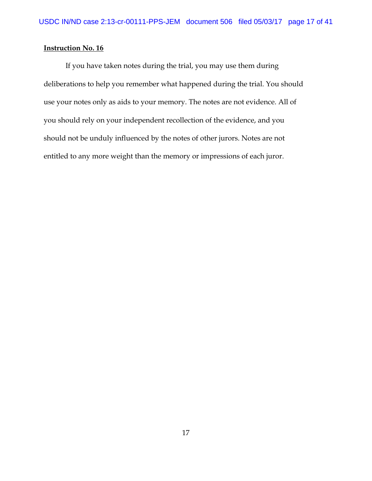If you have taken notes during the trial, you may use them during deliberations to help you remember what happened during the trial. You should use your notes only as aids to your memory. The notes are not evidence. All of you should rely on your independent recollection of the evidence, and you should not be unduly influenced by the notes of other jurors. Notes are not entitled to any more weight than the memory or impressions of each juror.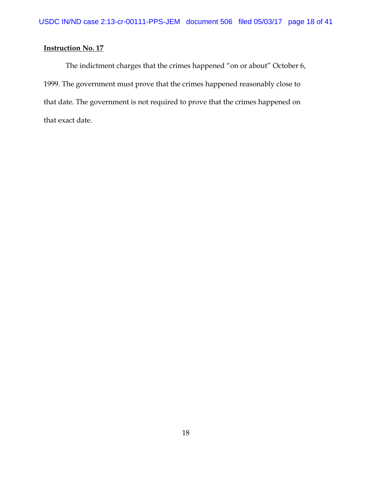The indictment charges that the crimes happened "on or about" October 6, 1999. The government must prove that the crimes happened reasonably close to that date. The government is not required to prove that the crimes happened on that exact date.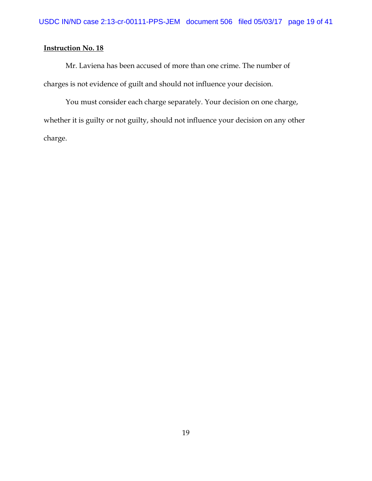Mr. Laviena has been accused of more than one crime. The number of charges is not evidence of guilt and should not influence your decision.

You must consider each charge separately. Your decision on one charge, whether it is guilty or not guilty, should not influence your decision on any other charge.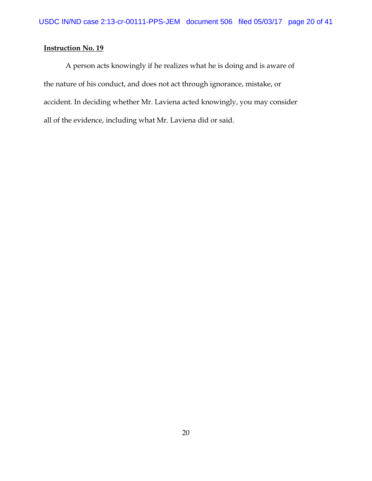A person acts knowingly if he realizes what he is doing and is aware of the nature of his conduct, and does not act through ignorance, mistake, or accident. In deciding whether Mr. Laviena acted knowingly, you may consider all of the evidence, including what Mr. Laviena did or said.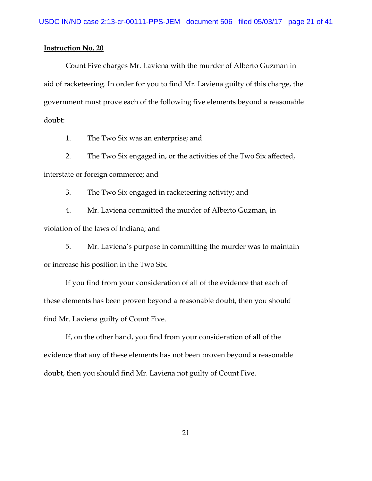Count Five charges Mr. Laviena with the murder of Alberto Guzman in aid of racketeering. In order for you to find Mr. Laviena guilty of this charge, the government must prove each of the following five elements beyond a reasonable doubt:

1. The Two Six was an enterprise; and

2. The Two Six engaged in, or the activities of the Two Six affected,

interstate or foreign commerce; and

3. The Two Six engaged in racketeering activity; and

4. Mr. Laviena committed the murder of Alberto Guzman, in violation of the laws of Indiana; and

5. Mr. Laviena's purpose in committing the murder was to maintain or increase his position in the Two Six.

If you find from your consideration of all of the evidence that each of these elements has been proven beyond a reasonable doubt, then you should find Mr. Laviena guilty of Count Five.

If, on the other hand, you find from your consideration of all of the evidence that any of these elements has not been proven beyond a reasonable doubt, then you should find Mr. Laviena not guilty of Count Five.

21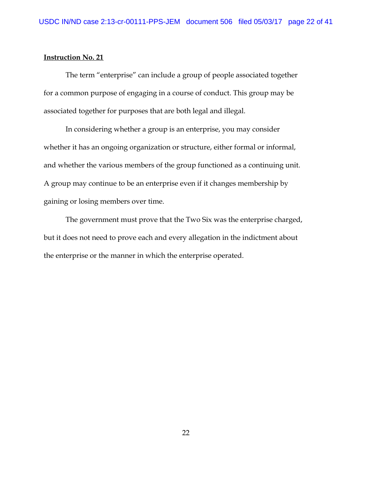The term "enterprise" can include a group of people associated together for a common purpose of engaging in a course of conduct. This group may be associated together for purposes that are both legal and illegal.

In considering whether a group is an enterprise, you may consider whether it has an ongoing organization or structure, either formal or informal, and whether the various members of the group functioned as a continuing unit. A group may continue to be an enterprise even if it changes membership by gaining or losing members over time.

The government must prove that the Two Six was the enterprise charged, but it does not need to prove each and every allegation in the indictment about the enterprise or the manner in which the enterprise operated.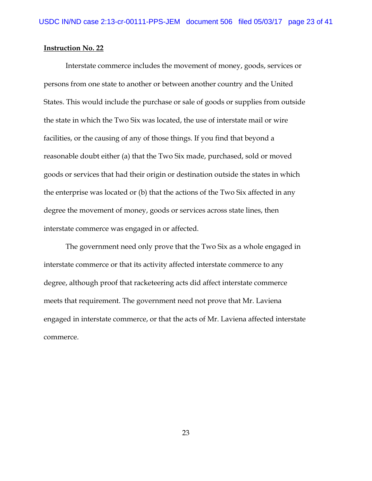Interstate commerce includes the movement of money, goods, services or persons from one state to another or between another country and the United States. This would include the purchase or sale of goods or supplies from outside the state in which the Two Six was located, the use of interstate mail or wire facilities, or the causing of any of those things. If you find that beyond a reasonable doubt either (a) that the Two Six made, purchased, sold or moved goods or services that had their origin or destination outside the states in which the enterprise was located or (b) that the actions of the Two Six affected in any degree the movement of money, goods or services across state lines, then interstate commerce was engaged in or affected.

The government need only prove that the Two Six as a whole engaged in interstate commerce or that its activity affected interstate commerce to any degree, although proof that racketeering acts did affect interstate commerce meets that requirement. The government need not prove that Mr. Laviena engaged in interstate commerce, or that the acts of Mr. Laviena affected interstate commerce.

23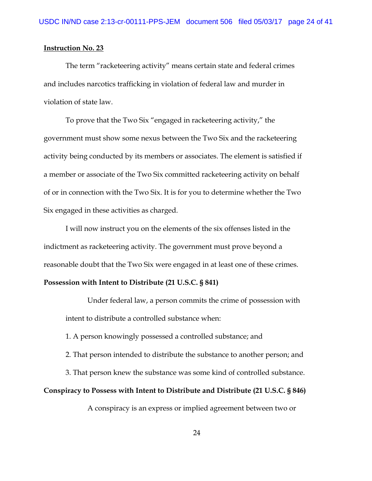The term "racketeering activity" means certain state and federal crimes and includes narcotics trafficking in violation of federal law and murder in violation of state law.

To prove that the Two Six "engaged in racketeering activity," the government must show some nexus between the Two Six and the racketeering activity being conducted by its members or associates. The element is satisfied if a member or associate of the Two Six committed racketeering activity on behalf of or in connection with the Two Six. It is for you to determine whether the Two Six engaged in these activities as charged.

I will now instruct you on the elements of the six offenses listed in the indictment as racketeering activity. The government must prove beyond a reasonable doubt that the Two Six were engaged in at least one of these crimes.

#### **Possession with Intent to Distribute (21 U.S.C. § 841)**

Under federal law, a person commits the crime of possession with intent to distribute a controlled substance when:

1. A person knowingly possessed a controlled substance; and

2. That person intended to distribute the substance to another person; and

3. That person knew the substance was some kind of controlled substance.

### **Conspiracy to Possess with Intent to Distribute and Distribute (21 U.S.C. § 846)**

A conspiracy is an express or implied agreement between two or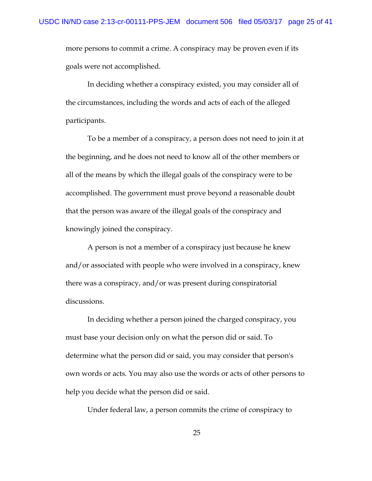more persons to commit a crime. A conspiracy may be proven even if its goals were not accomplished.

In deciding whether a conspiracy existed, you may consider all of the circumstances, including the words and acts of each of the alleged participants.

To be a member of a conspiracy, a person does not need to join it at the beginning, and he does not need to know all of the other members or all of the means by which the illegal goals of the conspiracy were to be accomplished. The government must prove beyond a reasonable doubt that the person was aware of the illegal goals of the conspiracy and knowingly joined the conspiracy.

A person is not a member of a conspiracy just because he knew and/or associated with people who were involved in a conspiracy, knew there was a conspiracy, and/or was present during conspiratorial discussions.

In deciding whether a person joined the charged conspiracy, you must base your decision only on what the person did or said. To determine what the person did or said, you may consider that person's own words or acts. You may also use the words or acts of other persons to help you decide what the person did or said.

Under federal law, a person commits the crime of conspiracy to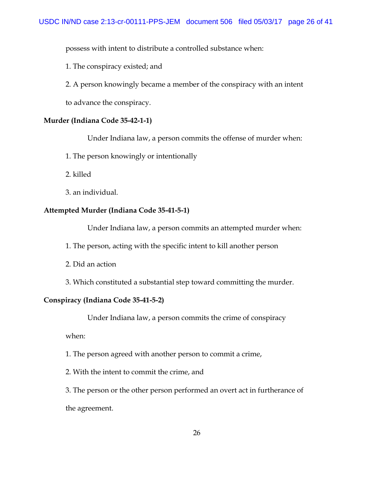possess with intent to distribute a controlled substance when:

1. The conspiracy existed; and

2. A person knowingly became a member of the conspiracy with an intent

to advance the conspiracy.

### **Murder (Indiana Code 35-42-1-1)**

Under Indiana law, a person commits the offense of murder when:

1. The person knowingly or intentionally

2. killed

3. an individual.

### **Attempted Murder (Indiana Code 35-41-5-1)**

Under Indiana law, a person commits an attempted murder when:

1. The person, acting with the specific intent to kill another person

2. Did an action

3. Which constituted a substantial step toward committing the murder.

### **Conspiracy (Indiana Code 35-41-5-2)**

Under Indiana law, a person commits the crime of conspiracy

when:

1. The person agreed with another person to commit a crime,

2. With the intent to commit the crime, and

3. The person or the other person performed an overt act in furtherance of the agreement.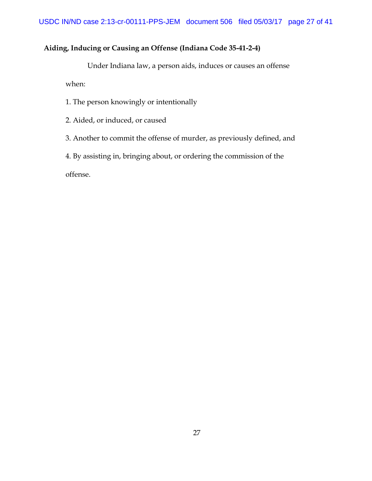# **Aiding, Inducing or Causing an Offense (Indiana Code 35-41-2-4)**

Under Indiana law, a person aids, induces or causes an offense when:

1. The person knowingly or intentionally

2. Aided, or induced, or caused

3. Another to commit the offense of murder, as previously defined, and

4. By assisting in, bringing about, or ordering the commission of the

offense.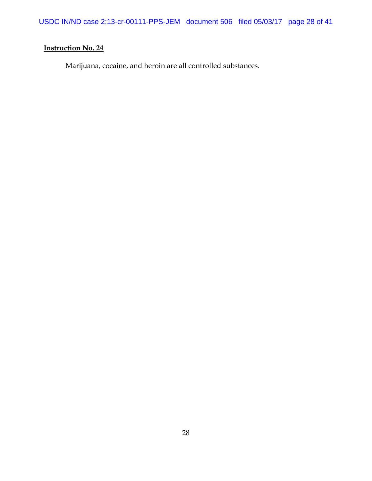USDC IN/ND case 2:13-cr-00111-PPS-JEM document 506 filed 05/03/17 page 28 of 41

# **Instruction No. 24**

Marijuana, cocaine, and heroin are all controlled substances.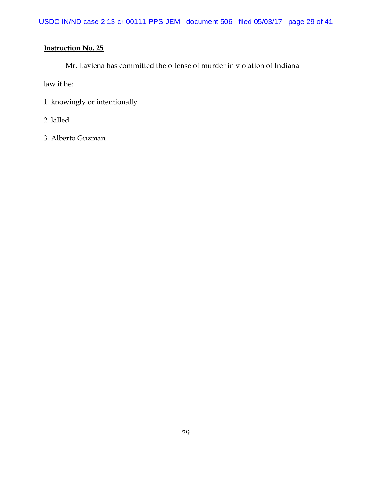Mr. Laviena has committed the offense of murder in violation of Indiana

law if he:

- 1. knowingly or intentionally
- 2. killed
- 3. Alberto Guzman.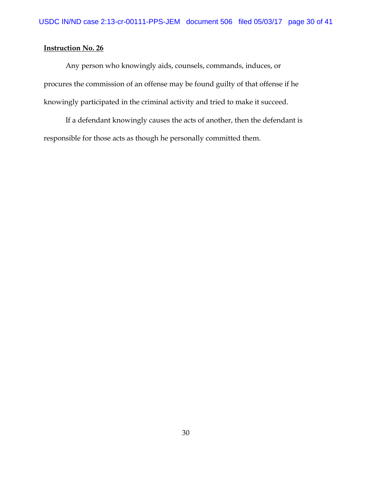Any person who knowingly aids, counsels, commands, induces, or procures the commission of an offense may be found guilty of that offense if he knowingly participated in the criminal activity and tried to make it succeed.

If a defendant knowingly causes the acts of another, then the defendant is responsible for those acts as though he personally committed them.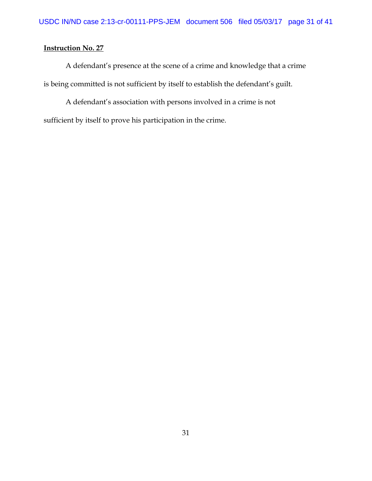A defendant's presence at the scene of a crime and knowledge that a crime is being committed is not sufficient by itself to establish the defendant's guilt.

A defendant's association with persons involved in a crime is not sufficient by itself to prove his participation in the crime.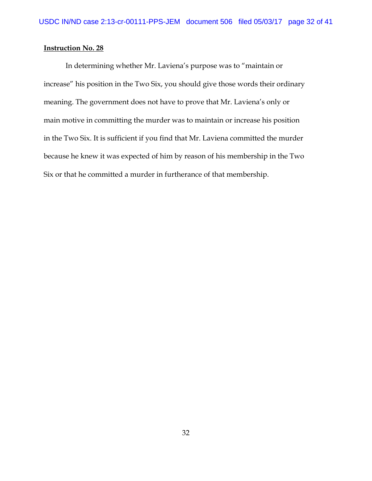In determining whether Mr. Laviena's purpose was to "maintain or increase" his position in the Two Six, you should give those words their ordinary meaning. The government does not have to prove that Mr. Laviena's only or main motive in committing the murder was to maintain or increase his position in the Two Six. It is sufficient if you find that Mr. Laviena committed the murder because he knew it was expected of him by reason of his membership in the Two Six or that he committed a murder in furtherance of that membership.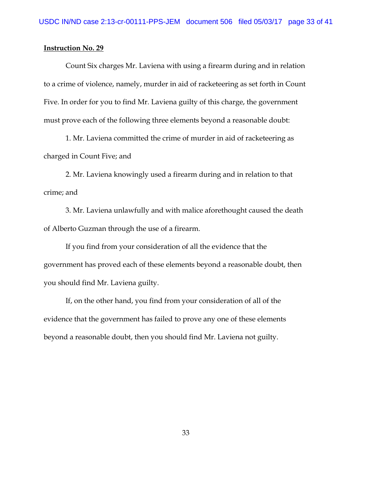Count Six charges Mr. Laviena with using a firearm during and in relation to a crime of violence, namely, murder in aid of racketeering as set forth in Count Five. In order for you to find Mr. Laviena guilty of this charge, the government must prove each of the following three elements beyond a reasonable doubt:

1. Mr. Laviena committed the crime of murder in aid of racketeering as charged in Count Five; and

2. Mr. Laviena knowingly used a firearm during and in relation to that crime; and

3. Mr. Laviena unlawfully and with malice aforethought caused the death of Alberto Guzman through the use of a firearm.

If you find from your consideration of all the evidence that the government has proved each of these elements beyond a reasonable doubt, then you should find Mr. Laviena guilty.

If, on the other hand, you find from your consideration of all of the evidence that the government has failed to prove any one of these elements beyond a reasonable doubt, then you should find Mr. Laviena not guilty.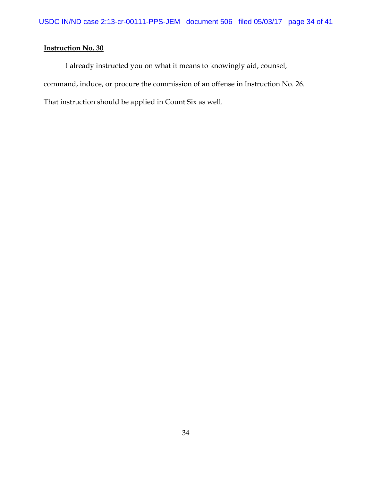I already instructed you on what it means to knowingly aid, counsel, command, induce, or procure the commission of an offense in Instruction No. 26. That instruction should be applied in Count Six as well.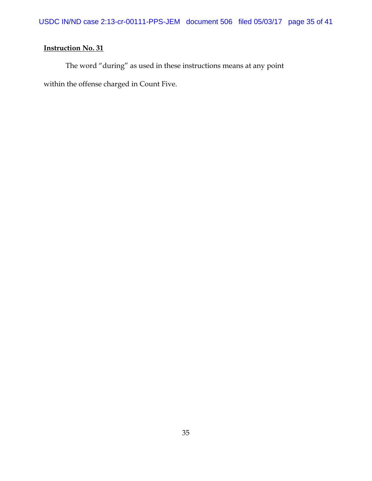The word "during" as used in these instructions means at any point within the offense charged in Count Five.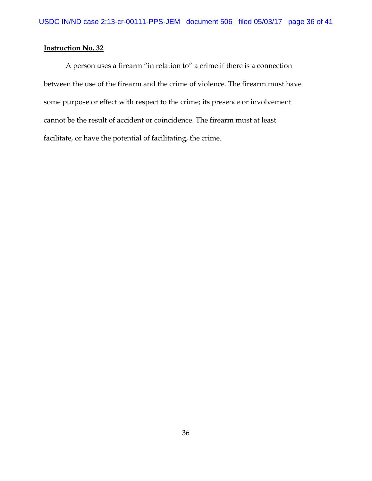A person uses a firearm "in relation to" a crime if there is a connection between the use of the firearm and the crime of violence. The firearm must have some purpose or effect with respect to the crime; its presence or involvement cannot be the result of accident or coincidence. The firearm must at least facilitate, or have the potential of facilitating, the crime.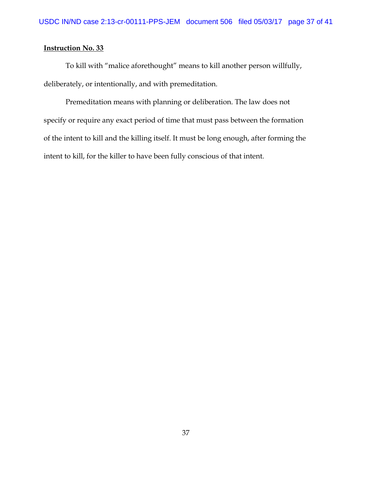To kill with "malice aforethought" means to kill another person willfully, deliberately, or intentionally, and with premeditation.

Premeditation means with planning or deliberation. The law does not specify or require any exact period of time that must pass between the formation of the intent to kill and the killing itself. It must be long enough, after forming the intent to kill, for the killer to have been fully conscious of that intent.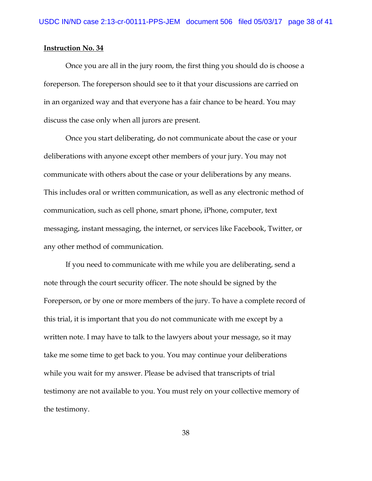Once you are all in the jury room, the first thing you should do is choose a foreperson. The foreperson should see to it that your discussions are carried on in an organized way and that everyone has a fair chance to be heard. You may discuss the case only when all jurors are present.

Once you start deliberating, do not communicate about the case or your deliberations with anyone except other members of your jury. You may not communicate with others about the case or your deliberations by any means. This includes oral or written communication, as well as any electronic method of communication, such as cell phone, smart phone, iPhone, computer, text messaging, instant messaging, the internet, or services like Facebook, Twitter, or any other method of communication.

If you need to communicate with me while you are deliberating, send a note through the court security officer. The note should be signed by the Foreperson, or by one or more members of the jury. To have a complete record of this trial, it is important that you do not communicate with me except by a written note. I may have to talk to the lawyers about your message, so it may take me some time to get back to you. You may continue your deliberations while you wait for my answer. Please be advised that transcripts of trial testimony are not available to you. You must rely on your collective memory of the testimony.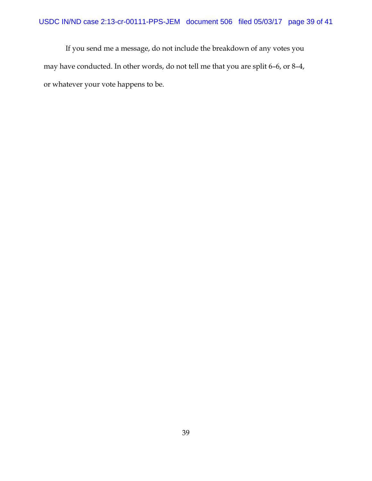If you send me a message, do not include the breakdown of any votes you may have conducted. In other words, do not tell me that you are split 6–6, or 8–4, or whatever your vote happens to be.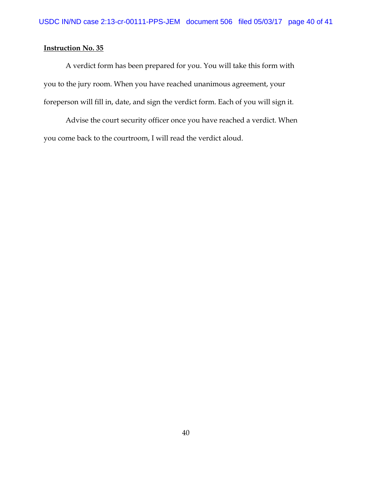A verdict form has been prepared for you. You will take this form with you to the jury room. When you have reached unanimous agreement, your foreperson will fill in, date, and sign the verdict form. Each of you will sign it.

Advise the court security officer once you have reached a verdict. When you come back to the courtroom, I will read the verdict aloud.